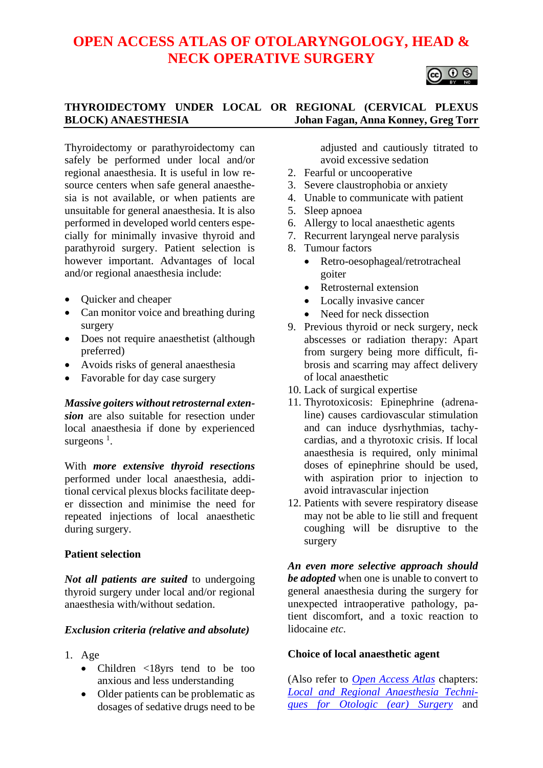# **OPEN ACCESS ATLAS OF OTOLARYNGOLOGY, HEAD & NECK OPERATIVE SURGERY**



# **THYROIDECTOMY UNDER LOCAL OR REGIONAL (CERVICAL PLEXUS BLOCK) ANAESTHESIA Johan Fagan, Anna Konney, Greg Torr**

Thyroidectomy or parathyroidectomy can safely be performed under local and/or regional anaesthesia. It is useful in low resource centers when safe general anaesthesia is not available, or when patients are unsuitable for general anaesthesia. It is also performed in developed world centers especially for minimally invasive thyroid and parathyroid surgery. Patient selection is however important. Advantages of local and/or regional anaesthesia include:

- Quicker and cheaper
- Can monitor voice and breathing during surgery
- Does not require anaesthetist (although preferred)
- Avoids risks of general anaesthesia
- Favorable for day case surgery

*Massive goiters without retrosternal extension* are also suitable for resection under local anaesthesia if done by experienced surgeons<sup>1</sup>.

With *more extensive thyroid resections* performed under local anaesthesia, additional cervical plexus blocks facilitate deeper dissection and minimise the need for repeated injections of local anaesthetic during surgery.

## **Patient selection**

*Not all patients are suited* to undergoing thyroid surgery under local and/or regional anaesthesia with/without sedation.

## *Exclusion criteria (relative and absolute)*

- 1. Age
	- Children <18yrs tend to be too anxious and less understanding
	- Older patients can be problematic as dosages of sedative drugs need to be

adjusted and cautiously titrated to avoid excessive sedation

- 2. Fearful or uncooperative
- 3. Severe claustrophobia or anxiety
- 4. Unable to communicate with patient
- 5. Sleep apnoea
- 6. Allergy to local anaesthetic agents
- 7. Recurrent laryngeal nerve paralysis
- 8. Tumour factors
	- Retro-oesophageal/retrotracheal goiter
	- Retrosternal extension
	- Locally invasive cancer
	- Need for neck dissection
- 9. Previous thyroid or neck surgery, neck abscesses or radiation therapy: Apart from surgery being more difficult, fibrosis and scarring may affect delivery of local anaesthetic
- 10. Lack of surgical expertise
- 11. Thyrotoxicosis: Epinephrine (adrenaline) causes cardiovascular stimulation and can induce dysrhythmias, tachycardias, and a thyrotoxic crisis. If local anaesthesia is required, only minimal doses of epinephrine should be used, with aspiration prior to injection to avoid intravascular injection
- 12. Patients with severe respiratory disease may not be able to lie still and frequent coughing will be disruptive to the surgery

*An even more selective approach should be adopted* when one is unable to convert to general anaesthesia during the surgery for unexpected intraoperative pathology, patient discomfort, and a toxic reaction to lidocaine *etc*.

## **Choice of local anaesthetic agent**

(Also refer to *[Open Access Atlas](http://www.entdev.uct.ac.za/guides/open-access-atlas-of-otolaryngology-head-neck-operative-surgery)* chapters: *[Local and Regional Anaesthesia Techni](https://vula.uct.ac.za/access/content/group/ba5fb1bd-be95-48e5-81be-586fbaeba29d/Local%20and%20regional%20anaesthesia%20techniques%20for%20otologic%20_ear_%20surgery.pdf)[ques for Otologic \(ear\) Surgery](https://vula.uct.ac.za/access/content/group/ba5fb1bd-be95-48e5-81be-586fbaeba29d/Local%20and%20regional%20anaesthesia%20techniques%20for%20otologic%20_ear_%20surgery.pdf)* and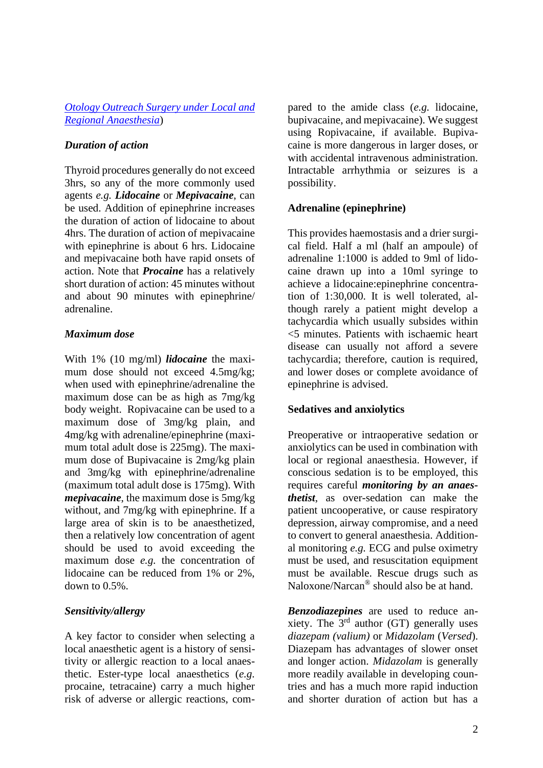## *[Otology Outreach Surgery](https://vula.uct.ac.za/access/content/group/ba5fb1bd-be95-48e5-81be-586fbaeba29d/Otology%20outreach%20surgery%20techniques%20under%20local%20and%20regional%20anaesthesia.pdf) under Local and [Regional Anaesthesia](https://vula.uct.ac.za/access/content/group/ba5fb1bd-be95-48e5-81be-586fbaeba29d/Otology%20outreach%20surgery%20techniques%20under%20local%20and%20regional%20anaesthesia.pdf)*)

# *Duration of action*

Thyroid procedures generally do not exceed 3hrs, so any of the more commonly used agents *e.g. Lidocaine* or *Mepivacaine*, can be used. Addition of epinephrine increases the duration of action of lidocaine to about 4hrs. The duration of action of mepivacaine with epinephrine is about 6 hrs. Lidocaine and mepivacaine both have rapid onsets of action. Note that *Procaine* has a relatively short duration of action: 45 minutes without and about 90 minutes with epinephrine/ adrenaline.

# *Maximum dose*

With 1% (10 mg/ml) *lidocaine* the maximum dose should not exceed 4.5mg/kg; when used with epinephrine/adrenaline the maximum dose can be as high as 7mg/kg body weight. Ropivacaine can be used to a maximum dose of 3mg/kg plain, and 4mg/kg with adrenaline/epinephrine (maximum total adult dose is 225mg). The maximum dose of Bupivacaine is 2mg/kg plain and 3mg/kg with epinephrine/adrenaline (maximum total adult dose is 175mg). With *mepivacaine*, the maximum dose is 5mg/kg without, and 7mg/kg with epinephrine. If a large area of skin is to be anaesthetized, then a relatively low concentration of agent should be used to avoid exceeding the maximum dose *e.g.* the concentration of lidocaine can be reduced from 1% or 2%, down to 0.5%.

# *Sensitivity/allergy*

A key factor to consider when selecting a local anaesthetic agent is a history of sensitivity or allergic reaction to a local anaesthetic. Ester-type local anaesthetics (*e.g.* procaine, tetracaine) carry a much higher risk of adverse or allergic reactions, compared to the amide class (*e.g.* lidocaine, bupivacaine, and mepivacaine). We suggest using Ropivacaine, if available. Bupivacaine is more dangerous in larger doses, or with accidental intravenous administration. Intractable arrhythmia or seizures is a possibility.

# **Adrenaline (epinephrine)**

This provides haemostasis and a drier surgical field. Half a ml (half an ampoule) of adrenaline 1:1000 is added to 9ml of lidocaine drawn up into a 10ml syringe to achieve a lidocaine:epinephrine concentration of 1:30,000. It is well tolerated, although rarely a patient might develop a tachycardia which usually subsides within <5 minutes. Patients with ischaemic heart disease can usually not afford a severe tachycardia; therefore, caution is required, and lower doses or complete avoidance of epinephrine is advised.

## **Sedatives and anxiolytics**

Preoperative or intraoperative sedation or anxiolytics can be used in combination with local or regional anaesthesia. However, if conscious sedation is to be employed, this requires careful *monitoring by an anaesthetist*, as over-sedation can make the patient uncooperative, or cause respiratory depression, airway compromise, and a need to convert to general anaesthesia. Additional monitoring *e.g.* ECG and pulse oximetry must be used, and resuscitation equipment must be available. Rescue drugs such as Naloxone/Narcan® should also be at hand.

*Benzodiazepines* are used to reduce anxiety. The  $3<sup>rd</sup>$  author (GT) generally uses *diazepam (valium)* or *Midazolam* (*Versed*). Diazepam has advantages of slower onset and longer action. *Midazolam* is generally more readily available in developing countries and has a much more rapid induction and shorter duration of action but has a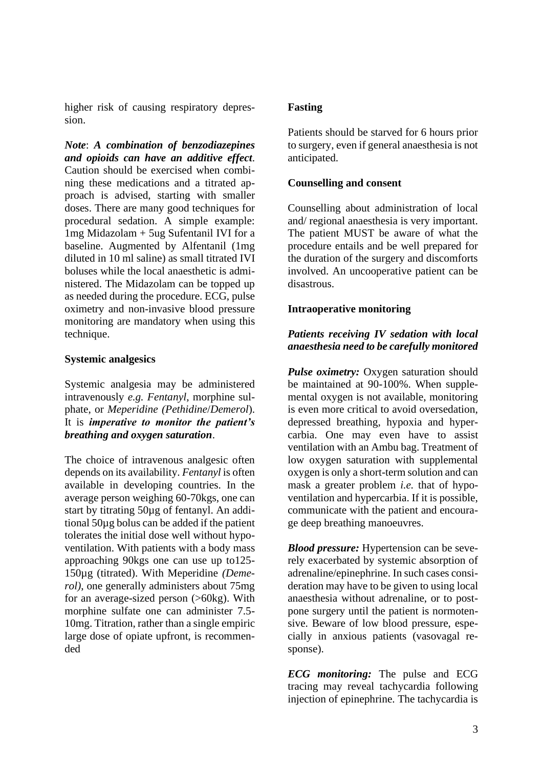higher risk of causing respiratory depression.

*Note*: *A combination of benzodiazepines and opioids can have an additive effect*. Caution should be exercised when combining these medications and a titrated approach is advised, starting with smaller doses. There are many good techniques for procedural sedation. A simple example: 1mg Midazolam + 5ug Sufentanil IVI for a baseline. Augmented by Alfentanil (1mg diluted in 10 ml saline) as small titrated IVI boluses while the local anaesthetic is administered. The Midazolam can be topped up as needed during the procedure. ECG, pulse oximetry and non-invasive blood pressure monitoring are mandatory when using this technique.

## **Systemic analgesics**

Systemic analgesia may be administered intravenously *e.g. Fentanyl*, morphine sulphate, or *Meperidine (Pethidine*/*Demerol*). It is *imperative to monitor the patient's breathing and oxygen saturation*.

The choice of intravenous analgesic often depends on its availability. *Fentanyl* is often available in developing countries. In the average person weighing 60-70kgs, one can start by titrating 50µg of fentanyl. An additional 50µg bolus can be added if the patient tolerates the initial dose well without hypoventilation. With patients with a body mass approaching 90kgs one can use up to125- 150µg (titrated). With Meperidine *(Demerol)*, one generally administers about 75mg for an average-sized person (>60kg). With morphine sulfate one can administer 7.5- 10mg. Titration, rather than a single empiric large dose of opiate upfront, is recommended

## **Fasting**

Patients should be starved for 6 hours prior to surgery, even if general anaesthesia is not anticipated.

## **Counselling and consent**

Counselling about administration of local and/ regional anaesthesia is very important. The patient MUST be aware of what the procedure entails and be well prepared for the duration of the surgery and discomforts involved. An uncooperative patient can be disastrous.

#### **Intraoperative monitoring**

## *Patients receiving IV sedation with local anaesthesia need to be carefully monitored*

*Pulse oximetry:* Oxygen saturation should be maintained at 90-100%. When supplemental oxygen is not available, monitoring is even more critical to avoid oversedation, depressed breathing, hypoxia and hypercarbia. One may even have to assist ventilation with an Ambu bag. Treatment of low oxygen saturation with supplemental oxygen is only a short-term solution and can mask a greater problem *i.e.* that of hypoventilation and hypercarbia. If it is possible, communicate with the patient and encourage deep breathing manoeuvres.

*Blood pressure:* Hypertension can be severely exacerbated by systemic absorption of adrenaline/epinephrine. In such cases consideration may have to be given to using local anaesthesia without adrenaline, or to postpone surgery until the patient is normotensive. Beware of low blood pressure, especially in anxious patients (vasovagal response).

*ECG monitoring:* The pulse and ECG tracing may reveal tachycardia following injection of epinephrine. The tachycardia is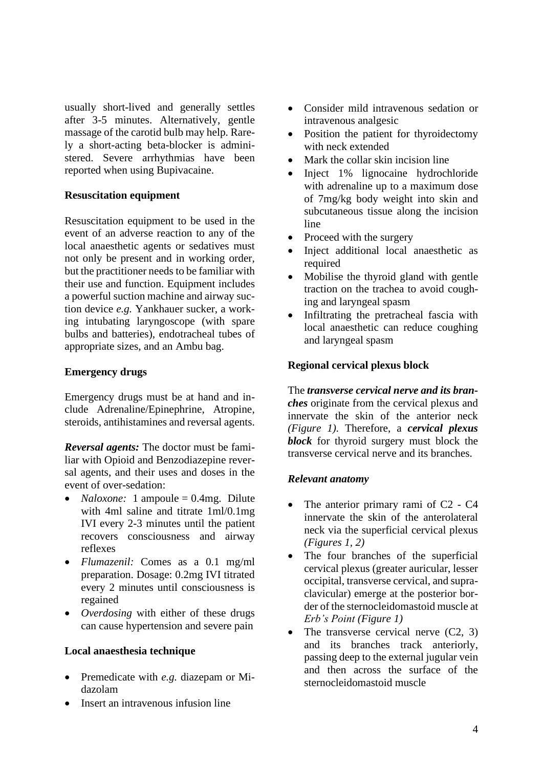usually short-lived and generally settles after 3-5 minutes. Alternatively, gentle massage of the carotid bulb may help. Rarely a short-acting beta-blocker is administered. Severe arrhythmias have been reported when using Bupivacaine.

## **Resuscitation equipment**

Resuscitation equipment to be used in the event of an adverse reaction to any of the local anaesthetic agents or sedatives must not only be present and in working order, but the practitioner needs to be familiar with their use and function. Equipment includes a powerful suction machine and airway suction device *e.g.* Yankhauer sucker, a working intubating laryngoscope (with spare bulbs and batteries), endotracheal tubes of appropriate sizes, and an Ambu bag.

#### **Emergency drugs**

Emergency drugs must be at hand and include Adrenaline/Epinephrine, Atropine, steroids, antihistamines and reversal agents.

*Reversal agents:* The doctor must be familiar with Opioid and Benzodiazepine reversal agents, and their uses and doses in the event of over-sedation:

- *Naloxone:* 1 ampoule = 0.4mg. Dilute with 4ml saline and titrate 1ml/0.1mg IVI every 2-3 minutes until the patient recovers consciousness and airway reflexes
- *Flumazenil:* Comes as a 0.1 mg/ml preparation. Dosage: 0.2mg IVI titrated every 2 minutes until consciousness is regained
- *Overdosing* with either of these drugs can cause hypertension and severe pain

#### **Local anaesthesia technique**

- Premedicate with *e.g.* diazepam or Midazolam
- Insert an intravenous infusion line
- Consider mild intravenous sedation or intravenous analgesic
- Position the patient for thyroidectomy with neck extended
- Mark the collar skin incision line
- Inject 1% lignocaine hydrochloride with adrenaline up to a maximum dose of 7mg/kg body weight into skin and subcutaneous tissue along the incision line
- Proceed with the surgery
- Inject additional local anaesthetic as required
- Mobilise the thyroid gland with gentle traction on the trachea to avoid coughing and laryngeal spasm
- Infiltrating the pretracheal fascia with local anaesthetic can reduce coughing and laryngeal spasm

#### **Regional cervical plexus block**

The *transverse cervical nerve and its branches* originate from the cervical plexus and innervate the skin of the anterior neck *(Figure 1).* Therefore, a *cervical plexus block* for thyroid surgery must block the transverse cervical nerve and its branches.

#### *Relevant anatomy*

- The anterior primary rami of C<sub>2</sub> C<sub>4</sub> innervate the skin of the anterolateral neck via the superficial cervical plexus *(Figures 1, 2)*
- The four branches of the superficial cervical plexus (greater auricular, lesser occipital, transverse cervical, and supraclavicular) emerge at the posterior border of the sternocleidomastoid muscle at *Erb's Point (Figure 1)*
- The transverse cervical nerve  $(C2, 3)$ and its branches track anteriorly, passing deep to the external jugular vein and then across the surface of the sternocleidomastoid muscle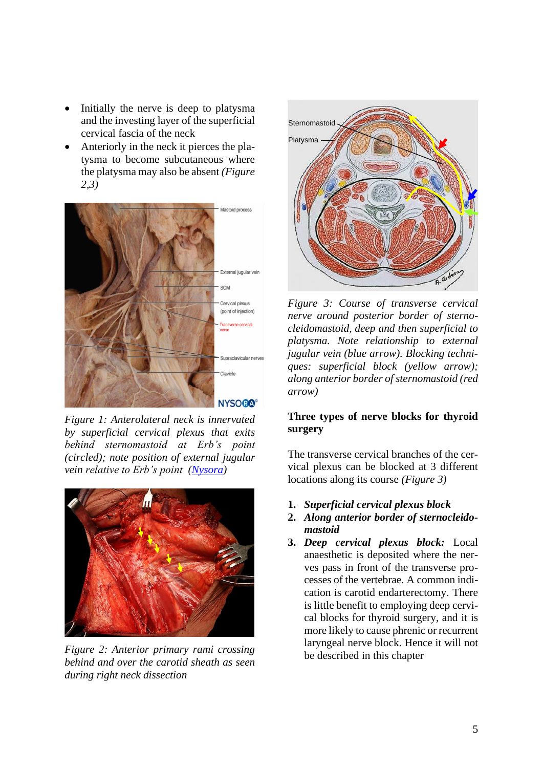- Initially the nerve is deep to platysma and the investing layer of the superficial cervical fascia of the neck
- Anteriorly in the neck it pierces the platysma to become subcutaneous where the platysma may also be absent *(Figure 2,3)*



*Figure 1: Anterolateral neck is innervated by superficial cervical plexus that exits behind sternomastoid at Erb's point (circled); note position of external jugular vein relative to Erb's point [\(Nysora\)](https://www.nysora.com/techniques/head-and-neck-blocks/cervical/cervical-plexus-block/)*



*Figure 2: Anterior primary rami crossing behind and over the carotid sheath as seen during right neck dissection*



*Figure 3: Course of transverse cervical nerve around posterior border of sternocleidomastoid, deep and then superficial to platysma. Note relationship to external jugular vein (blue arrow). Blocking techniques: superficial block (yellow arrow); along anterior border of sternomastoid (red arrow)*

## **Three types of nerve blocks for thyroid surgery**

The transverse cervical branches of the cervical plexus can be blocked at 3 different locations along its course *(Figure 3)*

- **1.** *Superficial cervical plexus block*
- **2.** *Along anterior border of sternocleidomastoid*
- **3.** *Deep cervical plexus block:* Local anaesthetic is deposited where the nerves pass in front of the transverse processes of the vertebrae. A common indication is carotid endarterectomy. There is little benefit to employing deep cervical blocks for thyroid surgery, and it is more likely to cause phrenic or recurrent laryngeal nerve block. Hence it will not be described in this chapter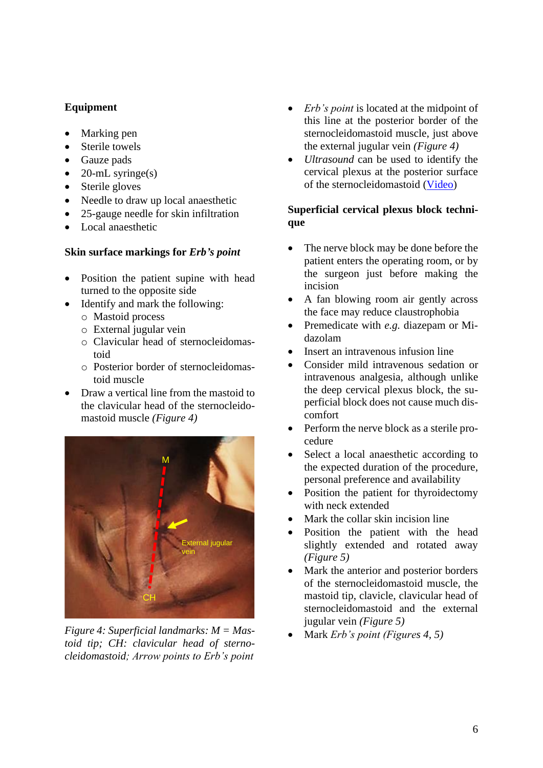# **Equipment**

- Marking pen
- Sterile towels
- Gauze pads
- 20-mL syringe(s)
- Sterile gloves
- Needle to draw up local anaesthetic
- 25-gauge needle for skin infiltration
- Local anaesthetic

#### **Skin surface markings for** *Erb's point*

- Position the patient supine with head turned to the opposite side
- Identify and mark the following: o Mastoid process
	- o External jugular vein
	- o Clavicular head of sternocleidomastoid
	- o Posterior border of sternocleidomastoid muscle
- Draw a vertical line from the mastoid to the clavicular head of the sternocleidomastoid muscle *(Figure 4)*



*Figure 4: Superficial landmarks: M = Mastoid tip; CH: clavicular head of sternocleidomastoid; Arrow points to Erb's point*

- *Erb's point* is located at the midpoint of this line at the posterior border of the sternocleidomastoid muscle, just above the external jugular vein *(Figure 4)*
- *Ultrasound* can be used to identify the cervical plexus at the posterior surface of the sternocleidomastoid [\(Video\)](https://www.nysora.com/techniques/head-and-neck-blocks/cervical/ultrasound-guided-cervical-plexus-block/)

## **Superficial cervical plexus block technique**

- The nerve block may be done before the patient enters the operating room, or by the surgeon just before making the incision
- A fan blowing room air gently across the face may reduce claustrophobia
- Premedicate with *e.g.* diazepam or Midazolam
- Insert an intravenous infusion line
- Consider mild intravenous sedation or intravenous analgesia, although unlike the deep cervical plexus block, the superficial block does not cause much discomfort
- Perform the nerve block as a sterile procedure
- Select a local anaesthetic according to the expected duration of the procedure, personal preference and availability
- Position the patient for thyroidectomy with neck extended
- Mark the collar skin incision line
- Position the patient with the head slightly extended and rotated away *(Figure 5)*
- Mark the anterior and posterior borders of the sternocleidomastoid muscle, the mastoid tip, clavicle, clavicular head of sternocleidomastoid and the external jugular vein *(Figure 5)*
- Mark *Erb's point (Figures 4, 5)*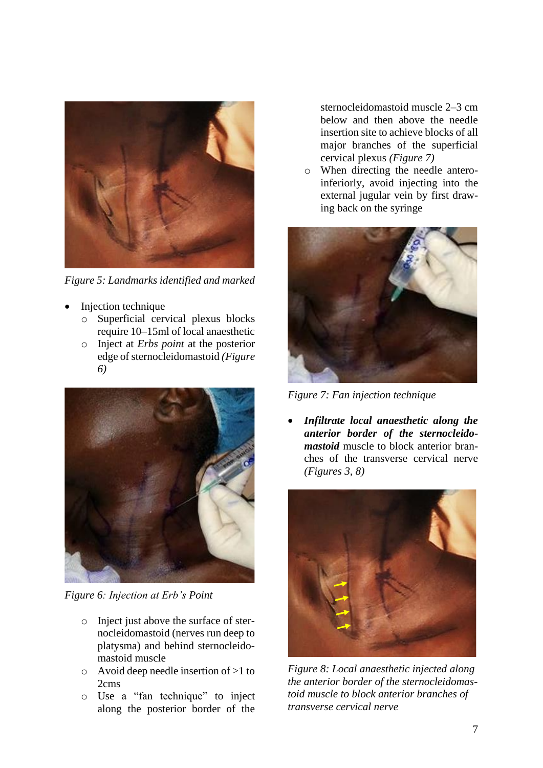

*Figure 5: Landmarks identified and marked*

- Injection technique
	- o Superficial cervical plexus blocks require 10–15ml of local anaesthetic
	- o Inject at *Erbs point* at the posterior edge of sternocleidomastoid *(Figure 6)*



*Figure 6: Injection at Erb's Point*

- o Inject just above the surface of sternocleidomastoid (nerves run deep to platysma) and behind sternocleidomastoid muscle
- o Avoid deep needle insertion of >1 to 2cms
- o Use a "fan technique" to inject along the posterior border of the

sternocleidomastoid muscle 2–3 cm below and then above the needle insertion site to achieve blocks of all major branches of the superficial cervical plexus *(Figure 7)*

o When directing the needle anteroinferiorly, avoid injecting into the external jugular vein by first drawing back on the syringe



*Figure 7: Fan injection technique* 

• *Infiltrate local anaesthetic along the anterior border of the sternocleidomastoid* muscle to block anterior branches of the transverse cervical nerve *(Figures 3, 8)*



*Figure 8: Local anaesthetic injected along the anterior border of the sternocleidomastoid muscle to block anterior branches of transverse cervical nerve*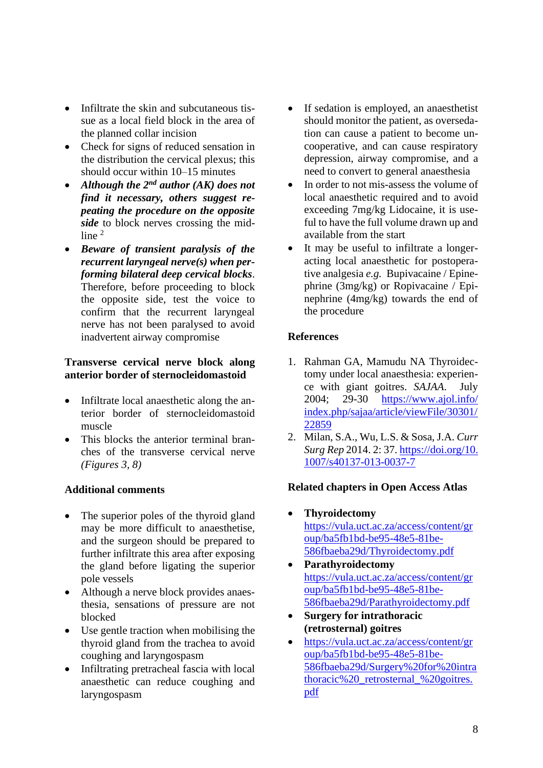- Infiltrate the skin and subcutaneous tissue as a local field block in the area of the planned collar incision
- Check for signs of reduced sensation in the distribution the cervical plexus; this should occur within 10–15 minutes
- *Although the 2nd author (AK) does not find it necessary, others suggest repeating the procedure on the opposite side* to block nerves crossing the midline <sup>2</sup>
- *Beware of transient paralysis of the recurrent laryngeal nerve(s) when performing bilateral deep cervical blocks*. Therefore, before proceeding to block the opposite side, test the voice to confirm that the recurrent laryngeal nerve has not been paralysed to avoid inadvertent airway compromise

## **Transverse cervical nerve block along anterior border of sternocleidomastoid**

- Infiltrate local anaesthetic along the anterior border of sternocleidomastoid muscle
- This blocks the anterior terminal branches of the transverse cervical nerve *(Figures 3, 8)*

## **Additional comments**

- The superior poles of the thyroid gland may be more difficult to anaesthetise, and the surgeon should be prepared to further infiltrate this area after exposing the gland before ligating the superior pole vessels
- Although a nerve block provides anaesthesia, sensations of pressure are not blocked
- Use gentle traction when mobilising the thyroid gland from the trachea to avoid coughing and laryngospasm
- Infiltrating pretracheal fascia with local anaesthetic can reduce coughing and laryngospasm
- If sedation is employed, an anaesthetist should monitor the patient, as oversedation can cause a patient to become uncooperative, and can cause respiratory depression, airway compromise, and a need to convert to general anaesthesia
- In order to not mis-assess the volume of local anaesthetic required and to avoid exceeding 7mg/kg Lidocaine, it is useful to have the full volume drawn up and available from the start
- It may be useful to infiltrate a longeracting local anaesthetic for postoperative analgesia *e.g.* Bupivacaine / Epinephrine (3mg/kg) or Ropivacaine / Epinephrine (4mg/kg) towards the end of the procedure

# **References**

- 1. Rahman GA, Mamudu NA Thyroidectomy under local anaesthesia: experience with giant goitres. *SAJAA*. July 2004; 29-30 [https://www.ajol.info/](https://www.ajol.info/%20index.php/sajaa/article/viewFile/30301/22859)  [index.php/sajaa/article/viewFile/30301/](https://www.ajol.info/%20index.php/sajaa/article/viewFile/30301/22859) [22859](https://www.ajol.info/%20index.php/sajaa/article/viewFile/30301/22859)
- 2. Milan, S.A., Wu, L.S. & Sosa, J.A. *Curr Surg Rep* 2014. 2: 37. [https://doi.org/10.](https://doi.org/10.%201007/s40137-013-0037-7)  [1007/s40137-013-0037-7](https://doi.org/10.%201007/s40137-013-0037-7)

## **Related chapters in Open Access Atlas**

- **Thyroidectomy** [https://vula.uct.ac.za/access/content/gr](https://vula.uct.ac.za/access/content/group/ba5fb1bd-be95-48e5-81be-586fbaeba29d/Thyroidectomy.pdf) [oup/ba5fb1bd-be95-48e5-81be-](https://vula.uct.ac.za/access/content/group/ba5fb1bd-be95-48e5-81be-586fbaeba29d/Thyroidectomy.pdf)[586fbaeba29d/Thyroidectomy.pdf](https://vula.uct.ac.za/access/content/group/ba5fb1bd-be95-48e5-81be-586fbaeba29d/Thyroidectomy.pdf)
- **Parathyroidectomy** [https://vula.uct.ac.za/access/content/gr](https://vula.uct.ac.za/access/content/group/ba5fb1bd-be95-48e5-81be-586fbaeba29d/Parathyroidectomy.pdf) [oup/ba5fb1bd-be95-48e5-81be-](https://vula.uct.ac.za/access/content/group/ba5fb1bd-be95-48e5-81be-586fbaeba29d/Parathyroidectomy.pdf)[586fbaeba29d/Parathyroidectomy.pdf](https://vula.uct.ac.za/access/content/group/ba5fb1bd-be95-48e5-81be-586fbaeba29d/Parathyroidectomy.pdf)
- **Surgery for intrathoracic (retrosternal) goitres**
- [https://vula.uct.ac.za/access/content/gr](https://vula.uct.ac.za/access/content/group/ba5fb1bd-be95-48e5-81be-586fbaeba29d/Surgery%20for%20intrathoracic%20_retrosternal_%20goitres.pdf) [oup/ba5fb1bd-be95-48e5-81be-](https://vula.uct.ac.za/access/content/group/ba5fb1bd-be95-48e5-81be-586fbaeba29d/Surgery%20for%20intrathoracic%20_retrosternal_%20goitres.pdf)[586fbaeba29d/Surgery%20for%20intra](https://vula.uct.ac.za/access/content/group/ba5fb1bd-be95-48e5-81be-586fbaeba29d/Surgery%20for%20intrathoracic%20_retrosternal_%20goitres.pdf) [thoracic%20\\_retrosternal\\_%20goitres.](https://vula.uct.ac.za/access/content/group/ba5fb1bd-be95-48e5-81be-586fbaeba29d/Surgery%20for%20intrathoracic%20_retrosternal_%20goitres.pdf) [pdf](https://vula.uct.ac.za/access/content/group/ba5fb1bd-be95-48e5-81be-586fbaeba29d/Surgery%20for%20intrathoracic%20_retrosternal_%20goitres.pdf)